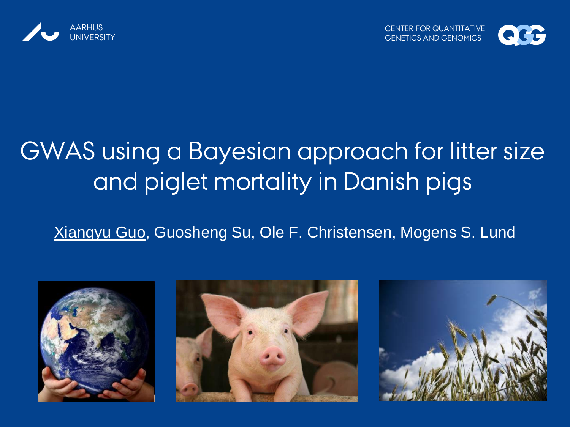



## GWAS using a Bayesian approach for litter size and piglet mortality in Danish pigs

### Xiangyu Guo, Guosheng Su, Ole F. Christensen, Mogens S. Lund

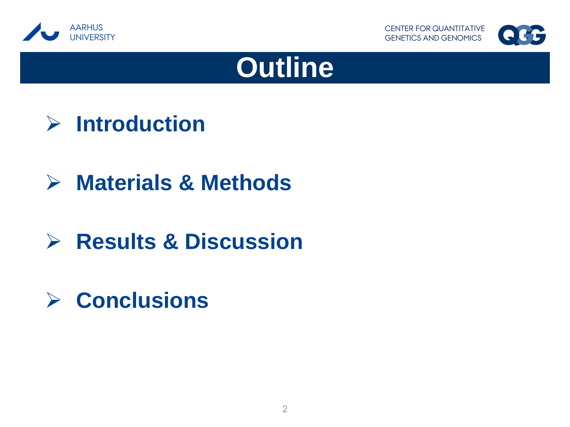





### **Introduction**

### **Materials & Methods**

### **Results & Discussion**

### **Conclusions**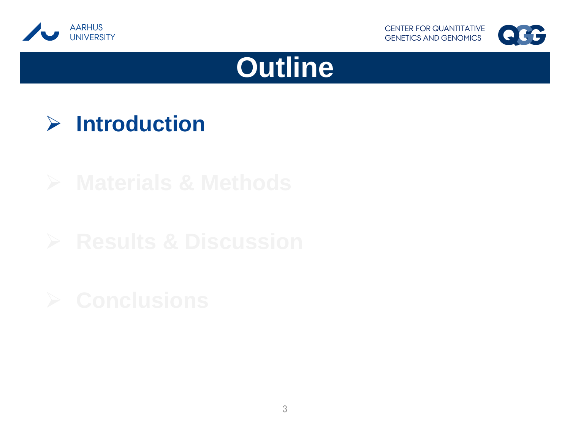





### **Introduction**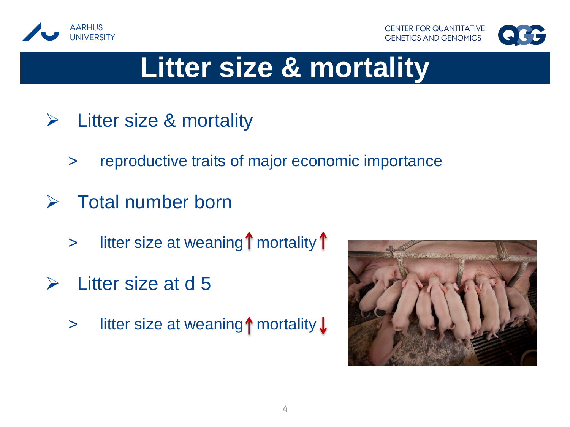



## **Litter size & mortality**

- $\triangleright$  Litter size & mortality
	- > reproductive traits of major economic importance
- $\triangleright$  Total number born
	- $\frac{1}{\sqrt{2}}$  litter size at weaning  $\int$  mortality  $\int$
- $\triangleright$  Litter size at d 5
	- $>$  litter size at weaning  $\uparrow$  mortality  $\downarrow$

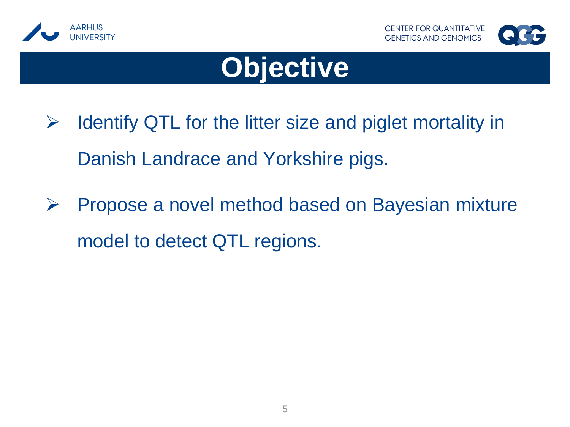





- $\triangleright$  Identify QTL for the litter size and piglet mortality in Danish Landrace and Yorkshire pigs.
- $\triangleright$  Propose a novel method based on Bayesian mixture model to detect QTL regions.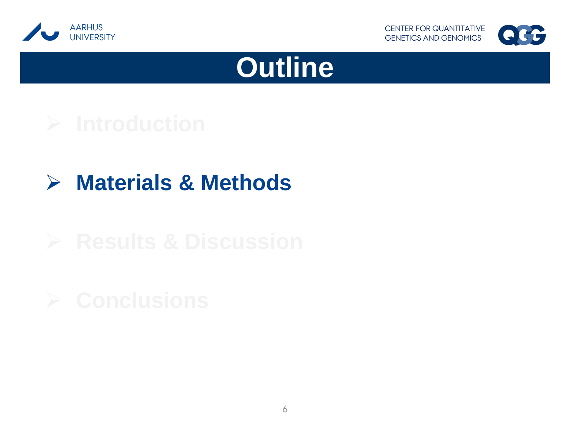





### **Materials & Methods**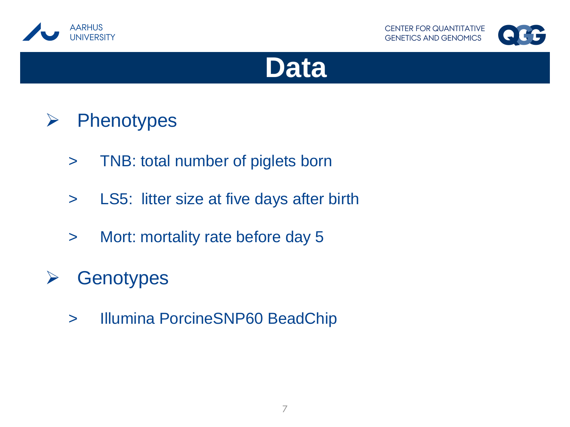





### $\triangleright$  Phenotypes

- > TNB: total number of piglets born
- > LS5: litter size at five days after birth
- > Mort: mortality rate before day 5

### **▶ Genotypes**

> Illumina PorcineSNP60 BeadChip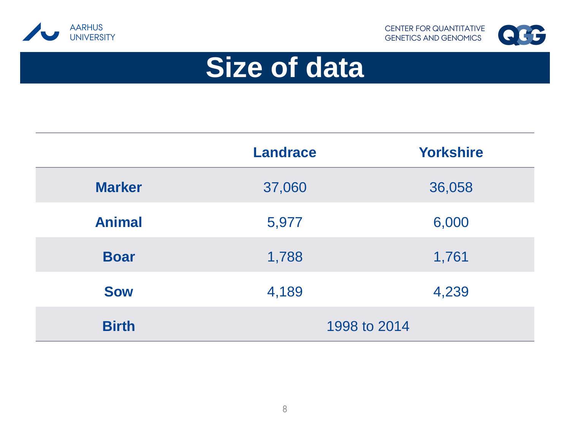



## **Size of data**

|               | <b>Landrace</b> | <b>Yorkshire</b> |  |  |
|---------------|-----------------|------------------|--|--|
| <b>Marker</b> | 37,060          | 36,058           |  |  |
| <b>Animal</b> | 5,977           | 6,000            |  |  |
| <b>Boar</b>   | 1,788           | 1,761            |  |  |
| <b>Sow</b>    | 4,189           | 4,239            |  |  |
| <b>Birth</b>  | 1998 to 2014    |                  |  |  |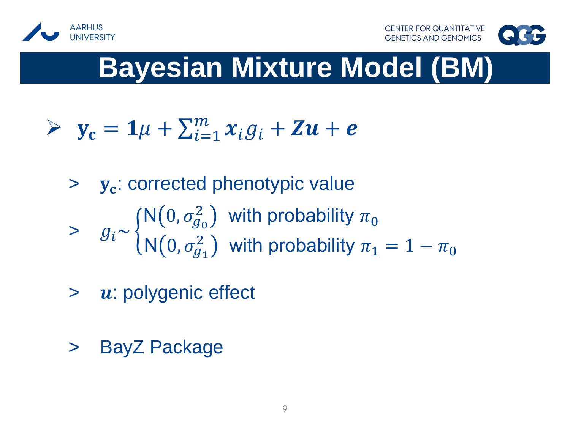



## **Bayesian Mixture Model (BM)**

$$
\triangleright \mathbf{y_c} = \mathbf{1}\mu + \sum_{i=1}^m x_i g_i + \mathbf{Z} \mathbf{u} + \mathbf{e}
$$

- > y<sub>c</sub>: corrected phenotypic value  $> g_i \sim \{$  $\mathsf{N}(0,\sigma_{g_0}^2)$  with probability  $\pi_0$  $N(0, \sigma_{g_1}^2)$  with probability  $\pi_1 = 1 - \pi_0$
- $>$   $\boldsymbol{u}$ : polygenic effect
- > BayZ Package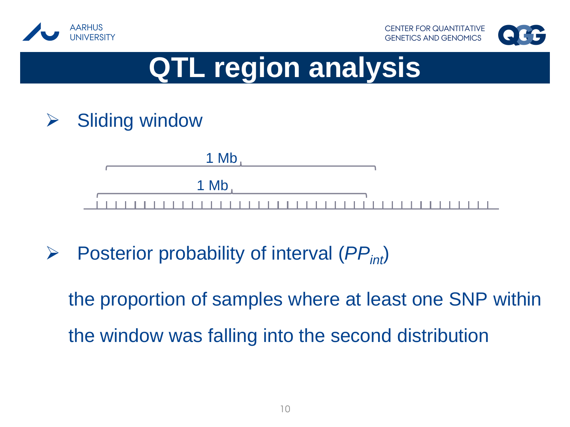

# **QTL region analysis**

 $\triangleright$  Sliding window



Posterior probability of interval (*PPint*)

the proportion of samples where at least one SNP within the window was falling into the second distribution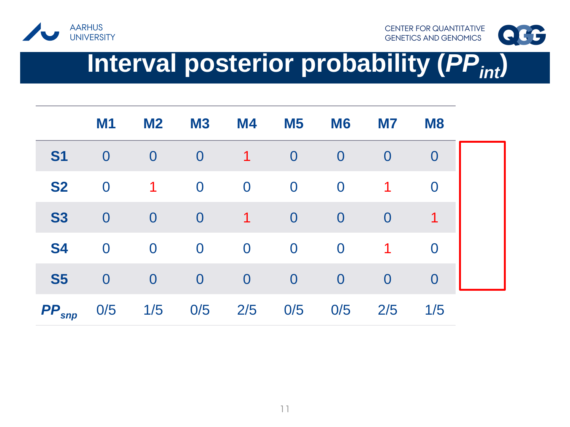



## **Interval posterior probability (***PPint***)**

|            | M <sub>1</sub> | M <sub>2</sub> | <b>M3</b>      | <b>M4</b>      | <b>M5</b>      | <b>M6</b>      | <b>M7</b>        | <b>M8</b>      |
|------------|----------------|----------------|----------------|----------------|----------------|----------------|------------------|----------------|
| <b>S1</b>  | $\overline{0}$ | $\overline{0}$ | $\overline{0}$ | $\mathbf 1$    | $\bf{0}$       | $\overline{0}$ | $\overline{0}$   | $\overline{0}$ |
| <b>S2</b>  | $\overline{0}$ | 1              | $\overline{0}$ | $\overline{0}$ | $\bf{0}$       | $\overline{0}$ | 1                | $\overline{0}$ |
| <b>S3</b>  | $\overline{0}$ | $\overline{0}$ | $\overline{0}$ | 1              | $\overline{0}$ | $\overline{0}$ | $\overline{0}$   | 1              |
| <b>S4</b>  | $\overline{0}$ | $\overline{0}$ | $\overline{0}$ | $\overline{0}$ | $\bf{0}$       | $\overline{0}$ | 1                | $\overline{0}$ |
| <b>S5</b>  | $\overline{0}$ | $\overline{0}$ | $\overline{0}$ | $\overline{0}$ | $\overline{0}$ | $\bf{0}$       | $\boldsymbol{0}$ | $\overline{0}$ |
| $PP_{snp}$ | 0/5            | 1/5            | 0/5            | 2/5            | 0/5            | 0/5            | 2/5              | 1/5            |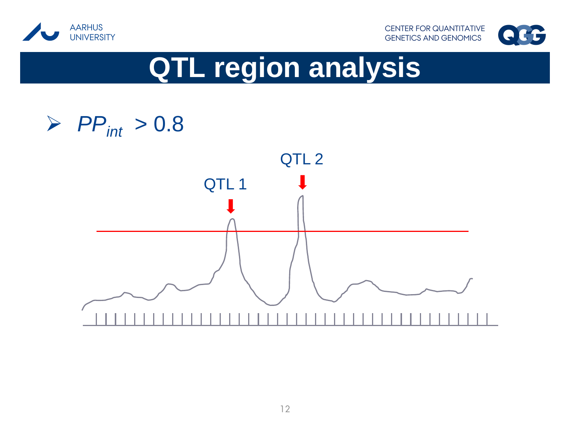



# **QTL region analysis**

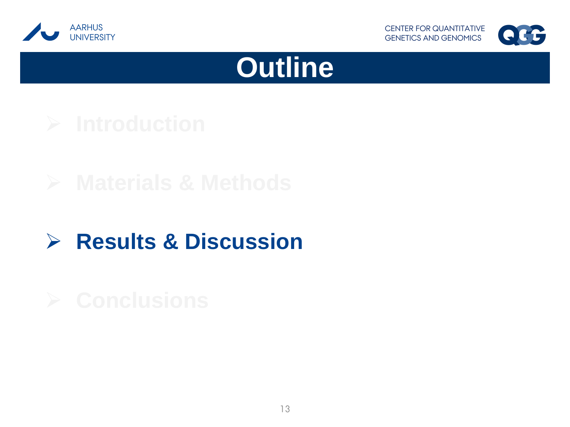





### **Results & Discussion**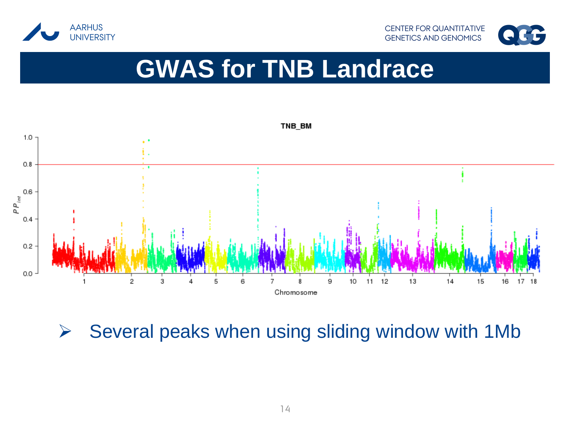



## **GWAS for TNB Landrace**



 $\triangleright$  Several peaks when using sliding window with 1Mb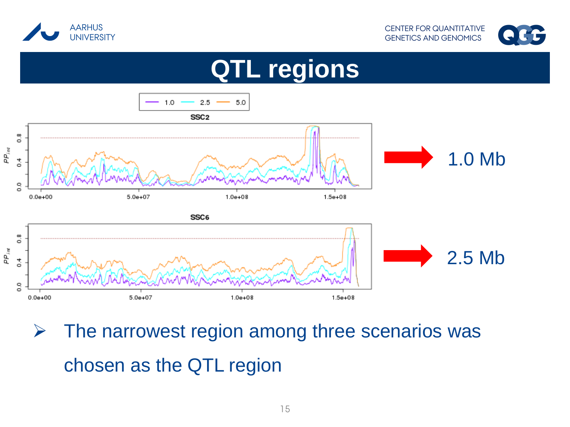





 $\triangleright$  The narrowest region among three scenarios was chosen as the QTL region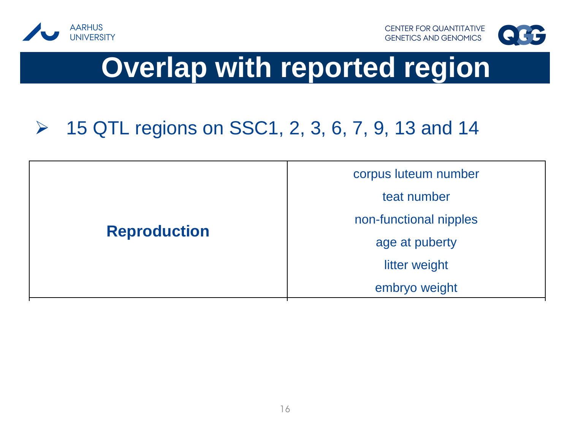



## **Overlap with reported region**

### $\triangleright$  15 QTL regions on SSC1, 2, 3, 6, 7, 9, 13 and 14

|                     | corpus luteum number            |  |
|---------------------|---------------------------------|--|
|                     | teat number                     |  |
| <b>Reproduction</b> | non-functional nipples          |  |
|                     | age at puberty<br>litter weight |  |
|                     |                                 |  |
|                     | embryo weight                   |  |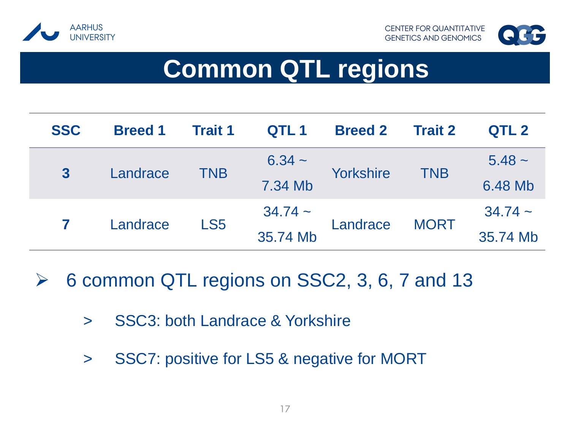



## **Common QTL regions**

| <b>SSC</b>              | <b>Breed 1</b> | <b>Trait 1</b>  | QTL 1     | <b>Breed 2</b> | <b>Trait 2</b> | QTL <sub>2</sub> |
|-------------------------|----------------|-----------------|-----------|----------------|----------------|------------------|
| $\overline{\mathbf{3}}$ | Landrace       | <b>TNB</b>      | $6.34 -$  | Yorkshire      | <b>TNB</b>     | $5.48 \sim$      |
|                         |                |                 | 7.34 Mb   |                |                | 6.48 Mb          |
|                         | Landrace       | LS <sub>5</sub> | $34.74 -$ | Landrace       | <b>MORT</b>    | $34.74 -$        |
|                         |                |                 | 35.74 Mb  |                |                | 35.74 Mb         |

- $\triangleright$  6 common QTL regions on SSC2, 3, 6, 7 and 13
	- > SSC3: both Landrace & Yorkshire
	- > SSC7: positive for LS5 & negative for MORT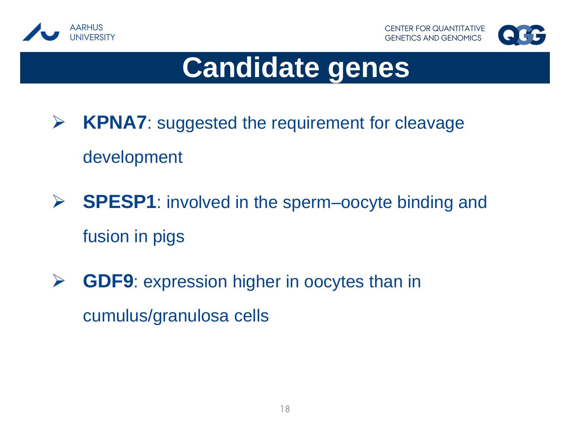



## **Candidate genes**

- $\triangleright$  **KPNA7**: suggested the requirement for cleavage development
- **SPESP1**: involved in the sperm–oocyte binding and fusion in pigs
- **GDF9**: expression higher in oocytes than in cumulus/granulosa cells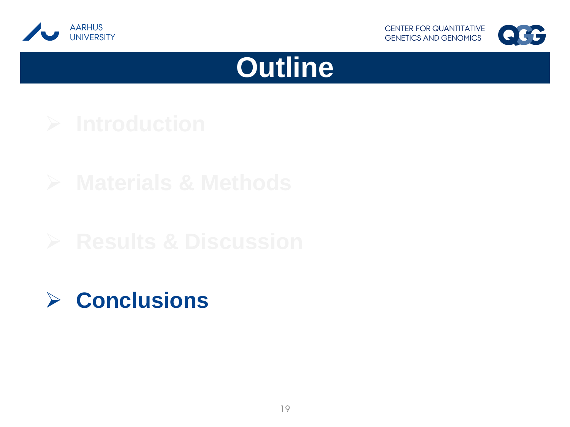





### **Conclusions**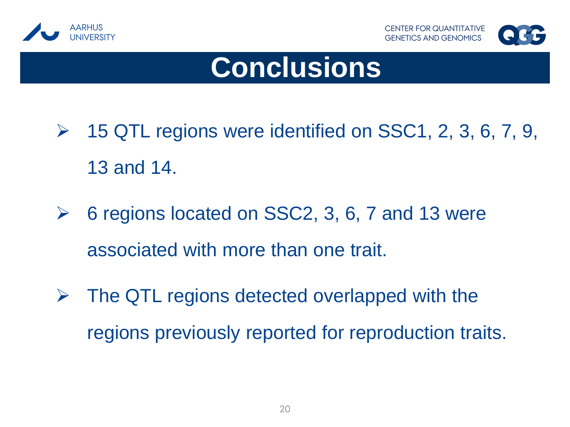



## **Conclusions**

- $\triangleright$  15 QTL regions were identified on SSC1, 2, 3, 6, 7, 9, 13 and 14.
- $\triangleright$  6 regions located on SSC2, 3, 6, 7 and 13 were associated with more than one trait.
- $\triangleright$  The QTL regions detected overlapped with the regions previously reported for reproduction traits.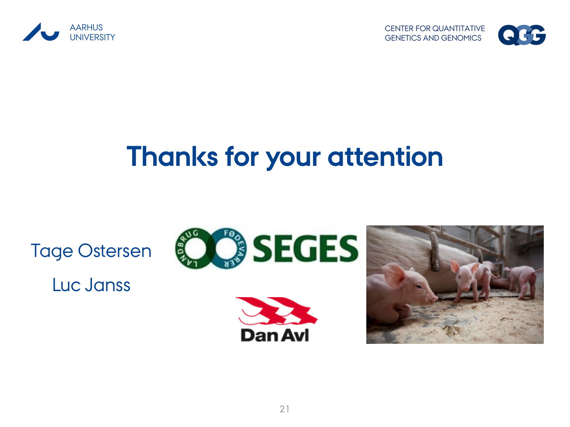



# **Thanks for your attention**